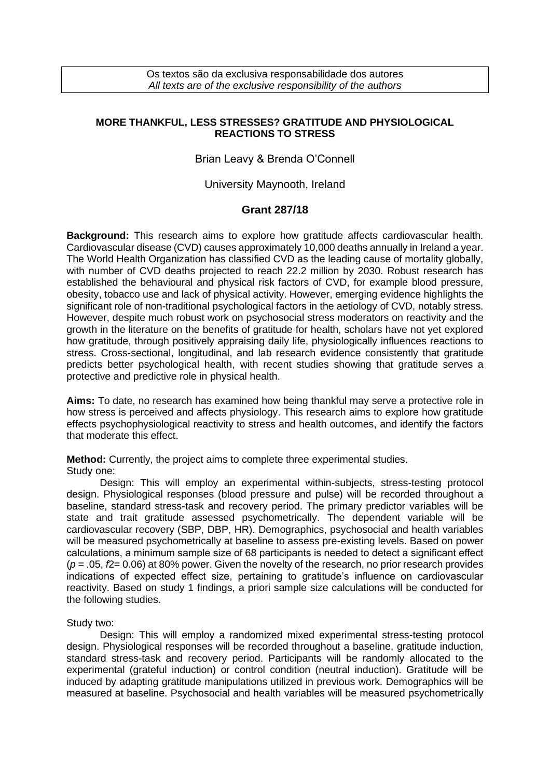## **MORE THANKFUL, LESS STRESSES? GRATITUDE AND PHYSIOLOGICAL REACTIONS TO STRESS**

# Brian Leavy & Brenda O'Connell

### University Maynooth, Ireland

#### **Grant 287/18**

**Background:** This research aims to explore how gratitude affects cardiovascular health. Cardiovascular disease (CVD) causes approximately 10,000 deaths annually in Ireland a year. The World Health Organization has classified CVD as the leading cause of mortality globally, with number of CVD deaths projected to reach 22.2 million by 2030. Robust research has established the behavioural and physical risk factors of CVD, for example blood pressure, obesity, tobacco use and lack of physical activity. However, emerging evidence highlights the significant role of non-traditional psychological factors in the aetiology of CVD, notably stress. However, despite much robust work on psychosocial stress moderators on reactivity and the growth in the literature on the benefits of gratitude for health, scholars have not yet explored how gratitude, through positively appraising daily life, physiologically influences reactions to stress. Cross-sectional, longitudinal, and lab research evidence consistently that gratitude predicts better psychological health, with recent studies showing that gratitude serves a protective and predictive role in physical health.

**Aims:** To date, no research has examined how being thankful may serve a protective role in how stress is perceived and affects physiology. This research aims to explore how gratitude effects psychophysiological reactivity to stress and health outcomes, and identify the factors that moderate this effect.

**Method:** Currently, the project aims to complete three experimental studies. Study one:

Design: This will employ an experimental within-subjects, stress-testing protocol design. Physiological responses (blood pressure and pulse) will be recorded throughout a baseline, standard stress-task and recovery period. The primary predictor variables will be state and trait gratitude assessed psychometrically. The dependent variable will be cardiovascular recovery (SBP, DBP, HR). Demographics, psychosocial and health variables will be measured psychometrically at baseline to assess pre-existing levels. Based on power calculations, a minimum sample size of 68 participants is needed to detect a significant effect (*p* = .05, *f*2= 0.06) at 80% power. Given the novelty of the research, no prior research provides indications of expected effect size, pertaining to gratitude's influence on cardiovascular reactivity. Based on study 1 findings, a priori sample size calculations will be conducted for the following studies.

#### Study two:

Design: This will employ a randomized mixed experimental stress-testing protocol design. Physiological responses will be recorded throughout a baseline, gratitude induction, standard stress-task and recovery period. Participants will be randomly allocated to the experimental (grateful induction) or control condition (neutral induction). Gratitude will be induced by adapting gratitude manipulations utilized in previous work. Demographics will be measured at baseline. Psychosocial and health variables will be measured psychometrically